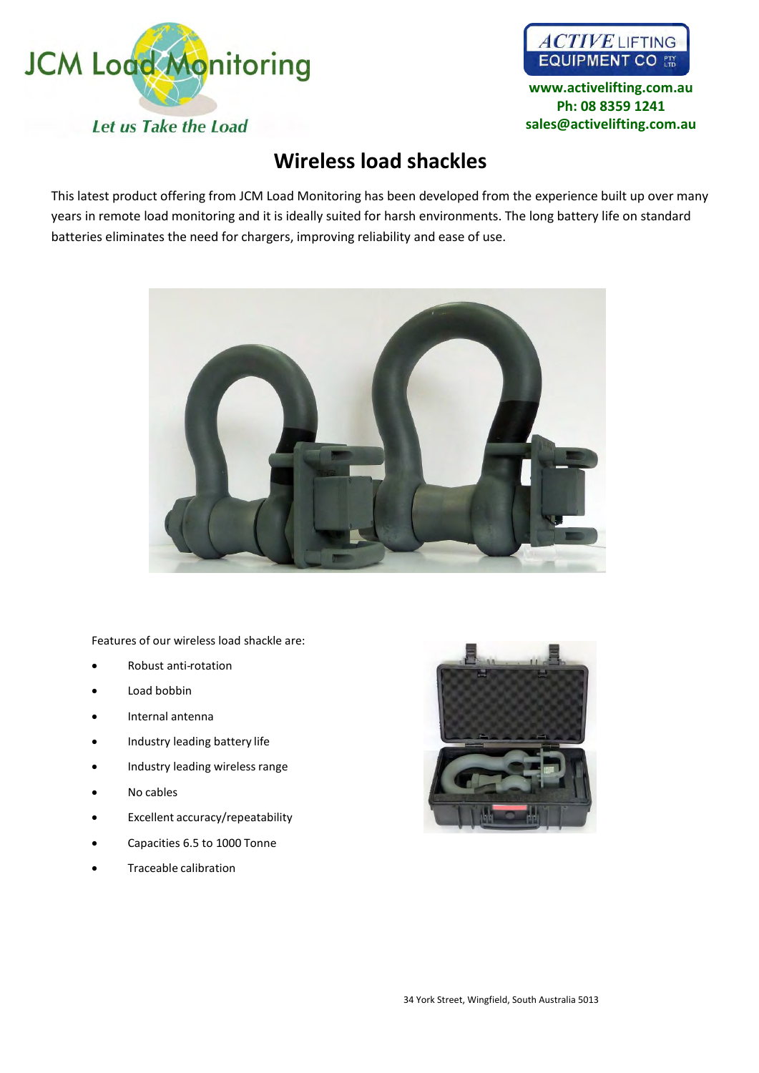



**www.activelifting.com.au Ph: [08 8359 1241](mailto:sales@jcmload.com) sales@activelifting.com.au**

## **Wireless load shackles**

This latest product offering from JCM Load Monitoring has been developed from the experience built up over many years in remote load monitoring and it is ideally suited for harsh environments. The long battery life on standard batteries eliminates the need for chargers, improving reliability and ease of use.



Features of our wireless load shackle are:

- Robust anti-rotation
- Load bobbin
- Internal antenna
- Industry leading battery life
- Industry leading wireless range
- No cables
- Excellent accuracy/repeatability
- Capacities 6.5 to 1000 Tonne
- Traceable calibration